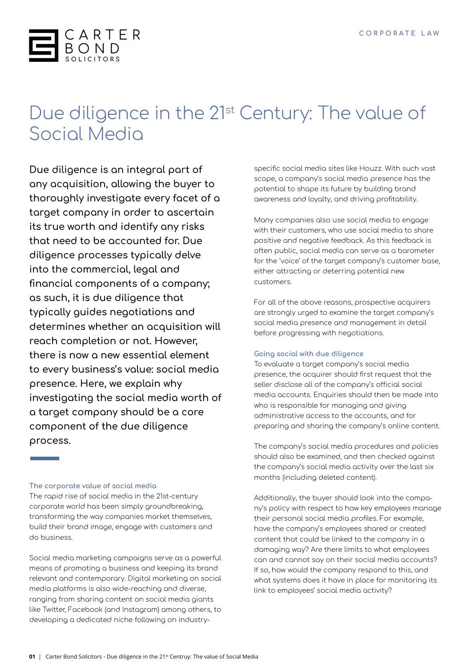

# Due diligence in the 21<sup>st</sup> Century: The value of Social Media

**Due diligence is an integral part of any acquisition, allowing the buyer to thoroughly investigate every facet of a target company in order to ascertain its true worth and identify any risks that need to be accounted for. Due diligence processes typically delve into the commercial, legal and financial components of a company; as such, it is due diligence that typically guides negotiations and determines whether an acquisition will reach completion or not. However, there is now a new essential element to every business's value: social media presence. Here, we explain why investigating the social media worth of a target company should be a core component of the due diligence process.**

### **The corporate value of social media**

The rapid rise of social media in the 21st-century corporate world has been simply groundbreaking, transforming the way companies market themselves, build their brand image, engage with customers and do business.

Social media marketing campaigns serve as a powerful means of promoting a business and keeping its brand relevant and contemporary. Digital marketing on social media platforms is also wide-reaching and diverse, ranging from sharing content on social media giants like Twitter, Facebook (and Instagram) among others, to developing a dedicated niche following on industryspecific social media sites like Houzz. With such vast scope, a company's social media presence has the potential to shape its future by building brand awareness and loyalty, and driving profitability.

Many companies also use social media to engage with their customers, who use social media to share positive and negative feedback. As this feedback is often public, social media can serve as a barometer for the 'voice' of the target company's customer base, either attracting or deterring potential new customers.

For all of the above reasons, prospective acquirers are strongly urged to examine the target company's social media presence and management in detail before progressing with negotiations.

### **Going social with due diligence**

To evaluate a target company's social media presence, the acquirer should first request that the seller disclose all of the company's official social media accounts. Enquiries should then be made into who is responsible for managing and giving administrative access to the accounts, and for preparing and sharing the company's online content.

The company's social media procedures and policies should also be examined, and then checked against the company's social media activity over the last six months (including deleted content).

Additionally, the buyer should look into the company's policy with respect to how key employees manage their personal social media profiles. For example, have the company's employees shared or created content that could be linked to the company in a damaging way? Are there limits to what employees can and cannot say on their social media accounts? If so, how would the company respond to this, and what systems does it have in place for monitoring its link to employees' social media activity?